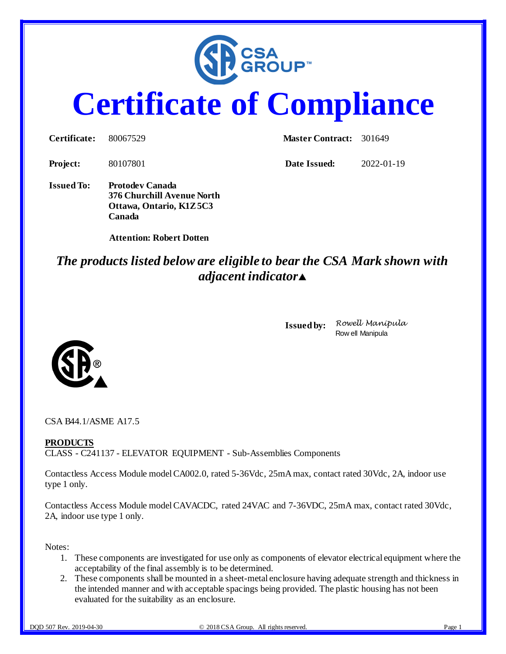

# **Certificate of Compliance**

**Certificate:** 80067529 **Master Contract:** 301649

**Project:** 80107801 **Date Issued:** 2022-01-19

**Issued To: Protodev Canada 376 Churchill Avenue North Ottawa, Ontario, K1Z 5C3 Canada**

 **Attention: Robert Dotten**

## *The products listed below are eligible to bear the CSA Mark shown with adjacent indicator*

**Issued by:** *Rowell Manipula* Row ell Manipula



CSA B44.1/ASME A17.5

#### **PRODUCTS**

CLASS - C241137 - ELEVATOR EQUIPMENT - Sub-Assemblies Components

Contactless Access Module model CA002.0, rated 5-36Vdc, 25mA max, contact rated 30Vdc, 2A, indoor use type 1 only.

Contactless Access Module model CAVACDC, rated 24VAC and 7-36VDC, 25mA max, contact rated 30Vdc, 2A, indoor use type 1 only.

Notes:

- 1. These components are investigated for use only as components of elevator electrical equipment where the acceptability of the final assembly is to be determined.
- 2. These components shall be mounted in a sheet-metal enclosure having adequate strength and thickness in the intended manner and with acceptable spacings being provided. The plastic housing has not been evaluated for the suitability as an enclosure.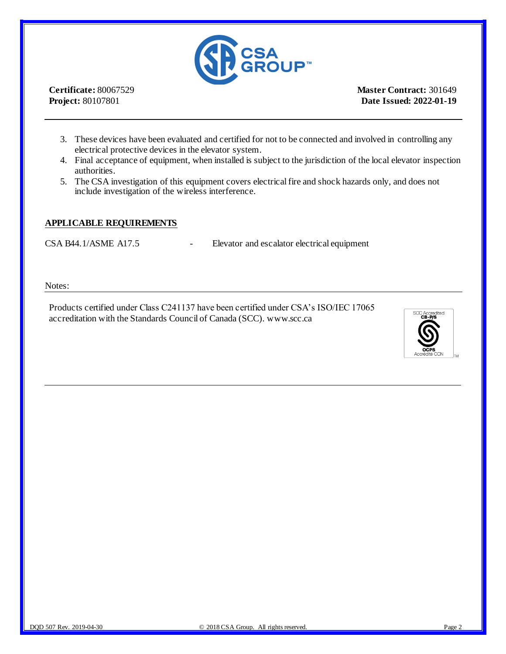

**Certificate:** 80067529 **Project:** 80107801

**Master Contract:** 301649 **Date Issued: 2022-01-19**

- 3. These devices have been evaluated and certified for not to be connected and involved in controlling any electrical protective devices in the elevator system.
- 4. Final acceptance of equipment, when installed is subject to the jurisdiction of the local elevator inspection authorities.
- 5. The CSA investigation of this equipment covers electrical fire and shock hazards only, and does not include investigation of the wireless interference.

#### **APPLICABLE REQUIREMENTS**

CSA B44.1/ASME A17.5 - Elevator and escalator electrical equipment

Notes:

Products certified under Class C241137 have been certified under CSA's ISO/IEC 17065 accreditation with the Standards Council of Canada (SCC). www.scc.ca